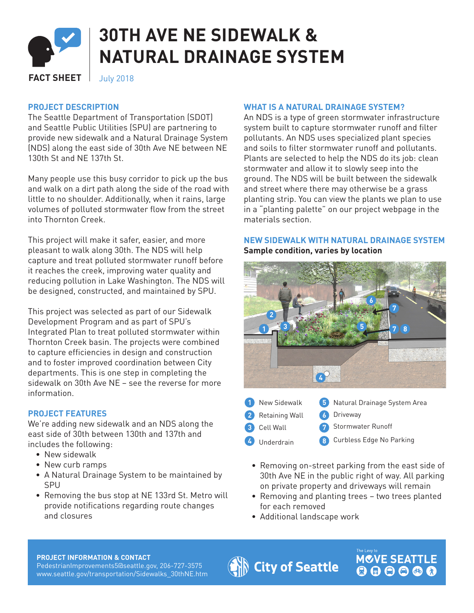

# **30TH AVE NE SIDEWALK & NATURAL DRAINAGE SYSTEM**

**FACT SHEET** July 2018

# **PROJECT DESCRIPTION**

The Seattle Department of Transportation (SDOT) and Seattle Public Utilities (SPU) are partnering to provide new sidewalk and a Natural Drainage System (NDS) along the east side of 30th Ave NE between NE 130th St and NE 137th St.

Many people use this busy corridor to pick up the bus and walk on a dirt path along the side of the road with little to no shoulder. Additionally, when it rains, large volumes of polluted stormwater flow from the street into Thornton Creek.

This project will make it safer, easier, and more pleasant to walk along 30th. The NDS will help capture and treat polluted stormwater runoff before it reaches the creek, improving water quality and reducing pollution in Lake Washington. The NDS will be designed, constructed, and maintained by SPU.

This project was selected as part of our Sidewalk Development Program and as part of SPU's Integrated Plan to treat polluted stormwater within Thornton Creek basin. The projects were combined to capture efficiencies in design and construction and to foster improved coordination between City departments. This is one step in completing the sidewalk on 30th Ave NE – see the reverse for more information.

# **PROJECT FEATURES**

We're adding new sidewalk and an NDS along the east side of 30th between 130th and 137th and includes the following:

- New sidewalk
- New curb ramps
- A Natural Drainage System to be maintained by SPU
- Removing the bus stop at NE 133rd St. Metro will provide notifications regarding route changes and closures

#### **WHAT IS A NATURAL DRAINAGE SYSTEM?**

An NDS is a type of green stormwater infrastructure system built to capture stormwater runoff and filter pollutants. An NDS uses specialized plant species and soils to filter stormwater runoff and pollutants. Plants are selected to help the NDS do its job: clean stormwater and allow it to slowly seep into the ground. The NDS will be built between the sidewalk and street where there may otherwise be a grass planting strip. You can view the plants we plan to use in a "planting palette" on our project webpage in the materials section.

# **NEW SIDEWALK WITH NATURAL DRAINAGE SYSTEM Sample condition, varies by location**



- New Sidewalk **1 5 2 Retaining Wall 6** Cell Wall **3 7** Underdrain **4 8** Natural Drainage System Area Driveway Stormwater Runoff Curbless Edge No Parking
	- Removing on-street parking from the east side of 30th Ave NE in the public right of way. All parking on private property and driveways will remain
	- Removing and planting trees two trees planted for each removed

**MOVE SEATTLE** 

• Additional landscape work

#### **PROJECT INFORMATION & CONTACT**

PedestrianImprovements5@seattle.gov, 206-727-3575 www.seattle.gov/transportation/Sidewalks\_30thNE.htm